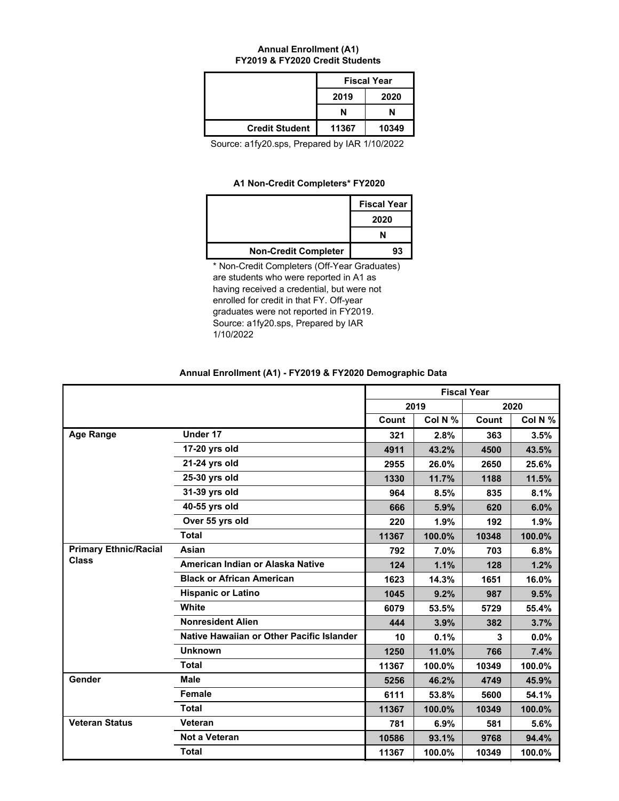#### **Annual Enrollment (A1) FY2019 & FY2020 Credit Students**

|                       |       | <b>Fiscal Year</b> |
|-----------------------|-------|--------------------|
|                       | 2019  | 2020               |
|                       | N     | N                  |
| <b>Credit Student</b> | 11367 | 10349              |

Source: a1fy20.sps, Prepared by IAR 1/10/2022

## **A1 Non-Credit Completers\* FY2020**

|                             | <b>Fiscal Year</b> |
|-----------------------------|--------------------|
|                             | 2020               |
|                             |                    |
| <b>Non-Credit Completer</b> | 93                 |

\* Non-Credit Completers (Off-Year Graduates) are students who were reported in A1 as having received a credential, but were not enrolled for credit in that FY. Off-year graduates were not reported in FY2019. Source: a1fy20.sps, Prepared by IAR 1/10/2022

|                              |                                           |       |         | <b>Fiscal Year</b> |         |
|------------------------------|-------------------------------------------|-------|---------|--------------------|---------|
|                              |                                           |       | 2019    |                    | 2020    |
|                              |                                           | Count | Col N % | Count              | Col N % |
| <b>Age Range</b>             | Under 17                                  | 321   | 2.8%    | 363                | 3.5%    |
|                              | 17-20 yrs old                             | 4911  | 43.2%   | 4500               | 43.5%   |
|                              | 21-24 yrs old                             | 2955  | 26.0%   | 2650               | 25.6%   |
|                              | 25-30 yrs old                             | 1330  | 11.7%   | 1188               | 11.5%   |
|                              | 31-39 yrs old                             | 964   | 8.5%    | 835                | 8.1%    |
|                              | 40-55 yrs old                             | 666   | 5.9%    | 620                | 6.0%    |
|                              | Over 55 yrs old                           | 220   | 1.9%    | 192                | 1.9%    |
|                              | <b>Total</b>                              | 11367 | 100.0%  | 10348              | 100.0%  |
| <b>Primary Ethnic/Racial</b> | Asian                                     | 792   | 7.0%    | 703                | 6.8%    |
| <b>Class</b>                 | American Indian or Alaska Native          | 124   | 1.1%    | 128                | 1.2%    |
|                              | <b>Black or African American</b>          | 1623  | 14.3%   | 1651               | 16.0%   |
|                              | <b>Hispanic or Latino</b>                 | 1045  | 9.2%    | 987                | 9.5%    |
|                              | White                                     | 6079  | 53.5%   | 5729               | 55.4%   |
|                              | <b>Nonresident Alien</b>                  | 444   | 3.9%    | 382                | 3.7%    |
|                              | Native Hawaiian or Other Pacific Islander | 10    | 0.1%    | 3                  | 0.0%    |
|                              | <b>Unknown</b>                            | 1250  | 11.0%   | 766                | 7.4%    |
|                              | <b>Total</b>                              | 11367 | 100.0%  | 10349              | 100.0%  |
| Gender                       | <b>Male</b>                               | 5256  | 46.2%   | 4749               | 45.9%   |
|                              | <b>Female</b>                             | 6111  | 53.8%   | 5600               | 54.1%   |
|                              | <b>Total</b>                              | 11367 | 100.0%  | 10349              | 100.0%  |
| <b>Veteran Status</b>        | Veteran                                   | 781   | 6.9%    | 581                | 5.6%    |
|                              | Not a Veteran                             | 10586 | 93.1%   | 9768               | 94.4%   |
|                              | <b>Total</b>                              | 11367 | 100.0%  | 10349              | 100.0%  |

## **Annual Enrollment (A1) - FY2019 & FY2020 Demographic Data**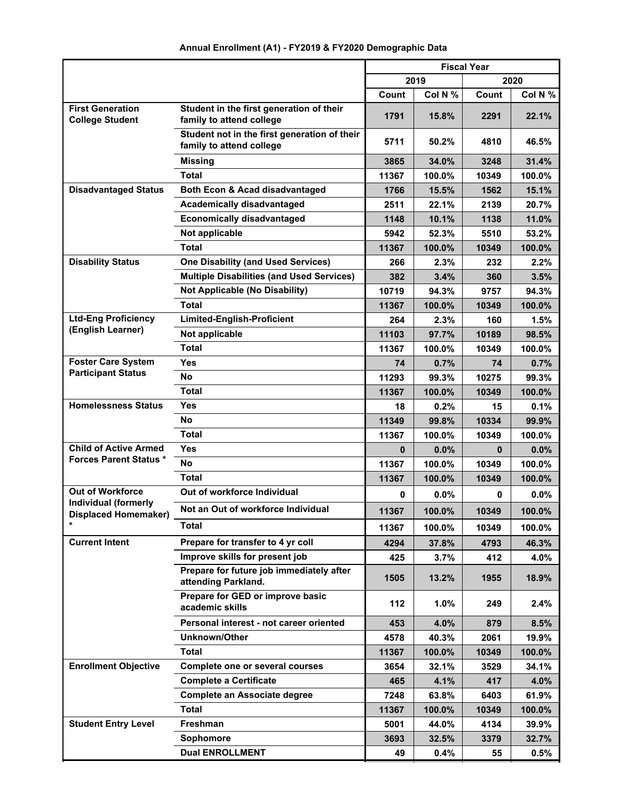|                                                                                            |                                                                      | <b>Fiscal Year</b> |         |          |         |
|--------------------------------------------------------------------------------------------|----------------------------------------------------------------------|--------------------|---------|----------|---------|
|                                                                                            |                                                                      |                    | 2019    |          | 2020    |
|                                                                                            |                                                                      | Count              | Col N % | Count    | Col N % |
| <b>First Generation</b><br><b>College Student</b>                                          | Student in the first generation of their<br>family to attend college | 1791               | 15.8%   | 2291     | 22.1%   |
| Student not in the first generation of their<br>family to attend college<br><b>Missing</b> |                                                                      | 5711               | 50.2%   | 4810     | 46.5%   |
|                                                                                            |                                                                      | 3865               | 34.0%   | 3248     | 31.4%   |
|                                                                                            | <b>Total</b>                                                         |                    | 100.0%  | 10349    | 100.0%  |
| <b>Disadvantaged Status</b>                                                                | Both Econ & Acad disadvantaged                                       | 1766               | 15.5%   | 1562     | 15.1%   |
|                                                                                            | <b>Academically disadvantaged</b>                                    | 2511               | 22.1%   | 2139     | 20.7%   |
|                                                                                            | <b>Economically disadvantaged</b>                                    | 1148               | 10.1%   | 1138     | 11.0%   |
|                                                                                            | Not applicable                                                       | 5942               | 52.3%   | 5510     | 53.2%   |
|                                                                                            | <b>Total</b>                                                         | 11367              | 100.0%  | 10349    | 100.0%  |
| <b>Disability Status</b>                                                                   | <b>One Disability (and Used Services)</b>                            | 266                | 2.3%    | 232      | 2.2%    |
|                                                                                            | <b>Multiple Disabilities (and Used Services)</b>                     | 382                | 3.4%    | 360      | 3.5%    |
|                                                                                            | <b>Not Applicable (No Disability)</b>                                | 10719              | 94.3%   | 9757     | 94.3%   |
|                                                                                            | <b>Total</b>                                                         | 11367              | 100.0%  | 10349    | 100.0%  |
| <b>Ltd-Eng Proficiency</b><br>(English Learner)                                            | <b>Limited-English-Proficient</b>                                    | 264                | 2.3%    | 160      | 1.5%    |
|                                                                                            | Not applicable                                                       | 11103              | 97.7%   | 10189    | 98.5%   |
|                                                                                            | <b>Total</b>                                                         | 11367              | 100.0%  | 10349    | 100.0%  |
| <b>Foster Care System</b><br><b>Participant Status</b>                                     | Yes                                                                  | 74                 | 0.7%    | 74       | 0.7%    |
|                                                                                            | No                                                                   | 11293              | 99.3%   | 10275    | 99.3%   |
|                                                                                            | <b>Total</b>                                                         | 11367              | 100.0%  | 10349    | 100.0%  |
| <b>Homelessness Status</b>                                                                 | <b>Yes</b>                                                           | 18                 | 0.2%    | 15       | 0.1%    |
|                                                                                            | No                                                                   | 11349              | 99.8%   | 10334    | 99.9%   |
|                                                                                            | <b>Total</b>                                                         | 11367              | 100.0%  | 10349    | 100.0%  |
| <b>Child of Active Armed</b><br><b>Forces Parent Status *</b>                              | Yes                                                                  | 0                  | $0.0\%$ | $\bf{0}$ | 0.0%    |
|                                                                                            | No                                                                   | 11367              | 100.0%  | 10349    | 100.0%  |
|                                                                                            | <b>Total</b>                                                         | 11367              | 100.0%  | 10349    | 100.0%  |
| <b>Out of Workforce</b><br><b>Individual (formerly</b>                                     | Out of workforce Individual                                          | 0                  | 0.0%    | 0        | 0.0%    |
| <b>Displaced Homemaker)</b>                                                                | Not an Out of workforce Individual                                   | 11367              | 100.0%  | 10349    | 100.0%  |
|                                                                                            | <b>Total</b>                                                         | 11367              | 100.0%  | 10349    | 100.0%  |
| <b>Current Intent</b>                                                                      | Prepare for transfer to 4 yr coll                                    | 4294               | 37.8%   | 4793     | 46.3%   |
|                                                                                            | Improve skills for present job                                       | 425                | 3.7%    | 412      | 4.0%    |
|                                                                                            | Prepare for future job immediately after<br>attending Parkland.      | 1505               | 13.2%   | 1955     | 18.9%   |
|                                                                                            | Prepare for GED or improve basic<br>academic skills                  | 112                | 1.0%    | 249      | 2.4%    |
|                                                                                            | Personal interest - not career oriented                              | 453                | 4.0%    | 879      | 8.5%    |
|                                                                                            | <b>Unknown/Other</b>                                                 | 4578               | 40.3%   | 2061     | 19.9%   |
|                                                                                            | <b>Total</b>                                                         | 11367              | 100.0%  | 10349    | 100.0%  |
| <b>Enrollment Objective</b>                                                                | Complete one or several courses                                      | 3654               | 32.1%   | 3529     | 34.1%   |
|                                                                                            | <b>Complete a Certificate</b>                                        | 465                | 4.1%    | 417      | 4.0%    |
|                                                                                            | <b>Complete an Associate degree</b>                                  | 7248               | 63.8%   | 6403     | 61.9%   |
|                                                                                            | <b>Total</b>                                                         | 11367              | 100.0%  | 10349    | 100.0%  |
| <b>Student Entry Level</b>                                                                 | Freshman                                                             | 5001               | 44.0%   | 4134     | 39.9%   |
|                                                                                            | Sophomore                                                            | 3693               | 32.5%   | 3379     | 32.7%   |
|                                                                                            | <b>Dual ENROLLMENT</b>                                               | 49                 | 0.4%    | 55       | 0.5%    |

# **Annual Enrollment (A1) - FY2019 & FY2020 Demographic Data**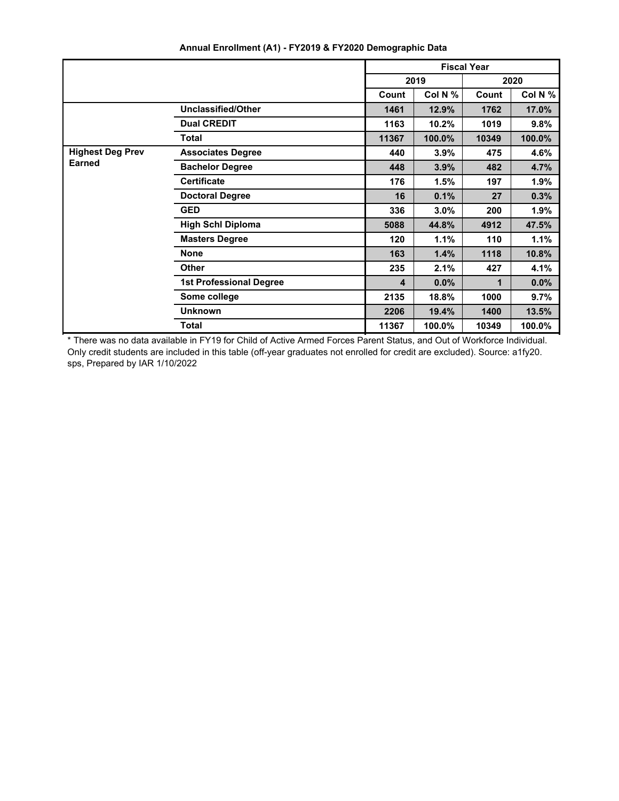|                                                                                                                      |                                | <b>Fiscal Year</b>      |         |       |         |
|----------------------------------------------------------------------------------------------------------------------|--------------------------------|-------------------------|---------|-------|---------|
|                                                                                                                      |                                | 2019<br>2020            |         |       |         |
|                                                                                                                      |                                | Count                   | Col N % | Count | Col N % |
|                                                                                                                      | <b>Unclassified/Other</b>      | 1461                    | 12.9%   | 1762  | 17.0%   |
|                                                                                                                      | <b>Dual CREDIT</b>             | 1163                    | 10.2%   | 1019  | 9.8%    |
|                                                                                                                      | <b>Total</b>                   | 11367                   | 100.0%  | 10349 | 100.0%  |
| <b>Highest Deg Prev</b><br><b>Associates Degree</b><br><b>Earned</b><br><b>Bachelor Degree</b><br><b>Certificate</b> |                                | 440                     | 3.9%    | 475   | 4.6%    |
|                                                                                                                      |                                | 448                     | 3.9%    | 482   | 4.7%    |
|                                                                                                                      |                                | 176                     | 1.5%    | 197   | 1.9%    |
|                                                                                                                      | <b>Doctoral Degree</b>         | 16                      | 0.1%    | 27    | 0.3%    |
|                                                                                                                      | <b>GED</b>                     | 336                     | 3.0%    | 200   | 1.9%    |
|                                                                                                                      | <b>High Schl Diploma</b>       | 5088                    | 44.8%   | 4912  | 47.5%   |
|                                                                                                                      | <b>Masters Degree</b>          | 120                     | 1.1%    | 110   | 1.1%    |
|                                                                                                                      | <b>None</b>                    | 163                     | 1.4%    | 1118  | 10.8%   |
|                                                                                                                      | <b>Other</b>                   | 235                     | 2.1%    | 427   | 4.1%    |
|                                                                                                                      | <b>1st Professional Degree</b> | $\overline{\mathbf{4}}$ | 0.0%    | 1     | 0.0%    |
|                                                                                                                      | Some college                   | 2135                    | 18.8%   | 1000  | 9.7%    |
|                                                                                                                      | <b>Unknown</b>                 | 2206                    | 19.4%   | 1400  | 13.5%   |
|                                                                                                                      | <b>Total</b>                   | 11367                   | 100.0%  | 10349 | 100.0%  |

## **Annual Enrollment (A1) - FY2019 & FY2020 Demographic Data**

\* There was no data available in FY19 for Child of Active Armed Forces Parent Status, and Out of Workforce Individual. Only credit students are included in this table (off-year graduates not enrolled for credit are excluded). Source: a1fy20. sps, Prepared by IAR 1/10/2022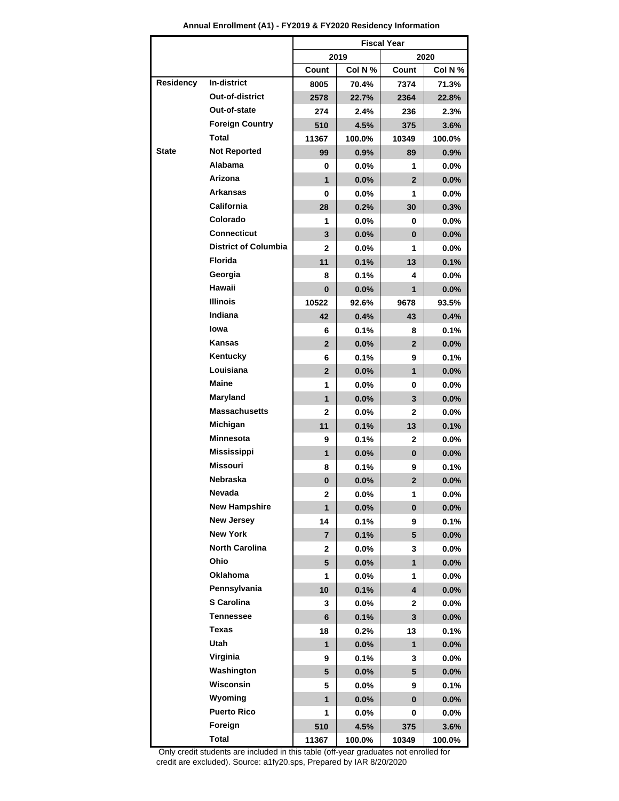|                  |                             | <b>Fiscal Year</b> |         |                         |         |
|------------------|-----------------------------|--------------------|---------|-------------------------|---------|
|                  |                             |                    | 2019    |                         | 2020    |
|                  |                             | Count              | Col N % | Count                   | Col N % |
| <b>Residency</b> | In-district                 | 8005               | 70.4%   | 7374                    | 71.3%   |
|                  | Out-of-district             | 2578               | 22.7%   | 2364                    | 22.8%   |
|                  | Out-of-state                | 274                | 2.4%    | 236                     | 2.3%    |
|                  | <b>Foreign Country</b>      | 510                | 4.5%    | 375                     | 3.6%    |
|                  | Total                       | 11367              | 100.0%  | 10349                   | 100.0%  |
| <b>State</b>     | <b>Not Reported</b>         | 99                 | $0.9\%$ | 89                      | $0.9\%$ |
|                  | <b>Alabama</b>              | 0                  | $0.0\%$ | 1                       | $0.0\%$ |
|                  | Arizona                     | $\mathbf{1}$       | 0.0%    | $\overline{2}$          | $0.0\%$ |
|                  | <b>Arkansas</b>             | 0                  | $0.0\%$ | 1                       | $0.0\%$ |
|                  | <b>California</b>           | 28                 | 0.2%    | 30                      | 0.3%    |
|                  | Colorado                    | 1                  | $0.0\%$ | 0                       | $0.0\%$ |
|                  | <b>Connecticut</b>          | 3                  | 0.0%    | 0                       | $0.0\%$ |
|                  | <b>District of Columbia</b> | $\mathbf{2}$       | $0.0\%$ | 1                       | $0.0\%$ |
|                  | <b>Florida</b>              | 11                 | 0.1%    | 13                      | 0.1%    |
|                  | Georgia                     | 8                  | $0.1\%$ | 4                       | $0.0\%$ |
|                  | Hawaii                      | $\bf{0}$           | 0.0%    | 1                       | $0.0\%$ |
|                  | <b>Illinois</b>             | 10522              | 92.6%   | 9678                    | 93.5%   |
|                  | Indiana                     | 42                 | 0.4%    | 43                      | 0.4%    |
|                  | lowa                        | 6                  | $0.1\%$ | 8                       | 0.1%    |
|                  | <b>Kansas</b>               | $\overline{2}$     | 0.0%    | $\overline{2}$          | 0.0%    |
|                  | Kentucky                    | 6                  | 0.1%    | 9                       | 0.1%    |
|                  | Louisiana                   | $\overline{2}$     | 0.0%    | 1                       | 0.0%    |
|                  | Maine                       | 1                  | 0.0%    | 0                       | $0.0\%$ |
|                  | Maryland                    | $\mathbf{1}$       | 0.0%    | 3                       | 0.0%    |
|                  | <b>Massachusetts</b>        | $\mathbf{2}$       | $0.0\%$ | $\mathbf{2}$            | $0.0\%$ |
|                  | Michigan                    | 11                 | 0.1%    | 13                      | 0.1%    |
|                  | <b>Minnesota</b>            | 9                  | $0.1\%$ | 2                       | $0.0\%$ |
|                  | <b>Mississippi</b>          | $\mathbf{1}$       | 0.0%    | 0                       | 0.0%    |
|                  | <b>Missouri</b>             | 8                  | 0.1%    | 9                       | $0.1\%$ |
|                  | <b>Nebraska</b>             | $\bf{0}$           | 0.0%    | $\overline{2}$          | 0.0%    |
|                  | Nevada                      | 2                  | 0.0%    | 1.                      | $0.0\%$ |
|                  | <b>New Hampshire</b>        | $\mathbf{1}$       | 0.0%    | 0                       | 0.0%    |
|                  | <b>New Jersey</b>           | 14                 | 0.1%    | 9                       | 0.1%    |
|                  | <b>New York</b>             | $\overline{7}$     | 0.1%    | 5                       | 0.0%    |
|                  | <b>North Carolina</b>       | 2                  | $0.0\%$ | 3                       | 0.0%    |
|                  | Ohio                        | 5                  | $0.0\%$ | 1                       | 0.0%    |
|                  | Oklahoma                    | 1                  | $0.0\%$ | 1                       | $0.0\%$ |
|                  | Pennsylvania                | 10                 | 0.1%    | $\overline{\mathbf{4}}$ | 0.0%    |
|                  | S Carolina                  | 3                  | $0.0\%$ | 2                       | $0.0\%$ |
|                  | <b>Tennessee</b>            | 6                  | 0.1%    | 3                       | 0.0%    |
|                  | <b>Texas</b>                | 18                 | 0.2%    | 13                      | 0.1%    |
|                  | Utah                        | $\mathbf{1}$       | $0.0\%$ | $\mathbf{1}$            | 0.0%    |
|                  | Virginia                    | 9                  | 0.1%    | 3                       | $0.0\%$ |
|                  | Washington                  | 5                  | $0.0\%$ | 5                       | $0.0\%$ |
|                  | Wisconsin                   | 5                  | $0.0\%$ | 9                       | 0.1%    |
|                  | Wyoming                     | $\mathbf{1}$       | $0.0\%$ | 0                       | $0.0\%$ |
|                  | <b>Puerto Rico</b>          | 1                  | $0.0\%$ | 0                       | $0.0\%$ |
|                  | Foreign                     | 510                | 4.5%    | 375                     | 3.6%    |
|                  | <b>Total</b>                | 11367              | 100.0%  | 10349                   | 100.0%  |

**Annual Enrollment (A1) - FY2019 & FY2020 Residency Information**

 Only credit students are included in this table (off-year graduates not enrolled for credit are excluded). Source: a1fy20.sps, Prepared by IAR 8/20/2020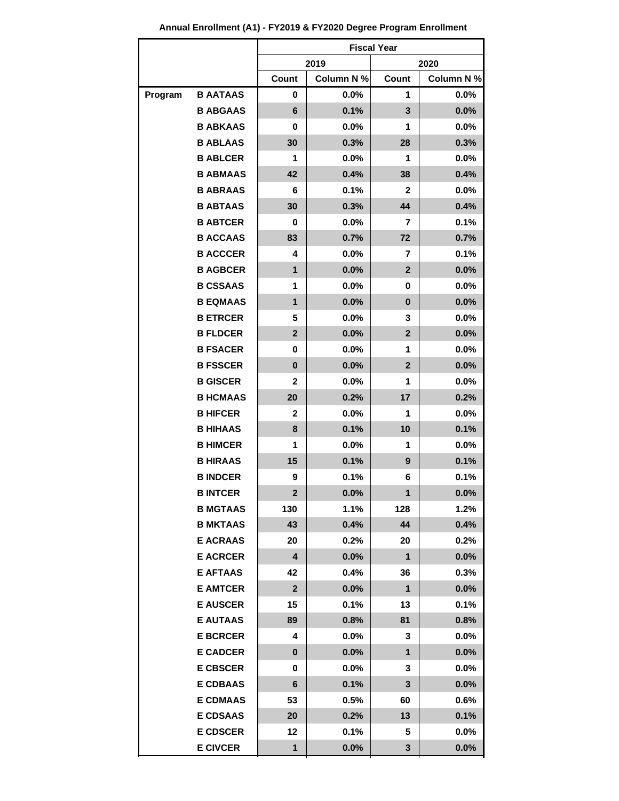|         |                 | <b>Fiscal Year</b>      |            |                |            |
|---------|-----------------|-------------------------|------------|----------------|------------|
|         |                 |                         | 2019       |                | 2020       |
|         |                 | Count                   | Column N % | Count          | Column N % |
| Program | <b>B AATAAS</b> | 0                       | $0.0\%$    | 1              | 0.0%       |
|         | <b>B ABGAAS</b> | $\bf 6$                 | 0.1%       | 3              | 0.0%       |
|         | <b>B ABKAAS</b> | 0                       | $0.0\%$    | 1              | 0.0%       |
|         | <b>B ABLAAS</b> | 30                      | 0.3%       | 28             | 0.3%       |
|         | <b>B ABLCER</b> | 1                       | 0.0%       | 1              | 0.0%       |
|         | <b>B ABMAAS</b> | 42                      | 0.4%       | 38             | 0.4%       |
|         | <b>B ABRAAS</b> | 6                       | 0.1%       | 2              | 0.0%       |
|         | <b>B ABTAAS</b> | 30                      | 0.3%       | 44             | 0.4%       |
|         | <b>B ABTCER</b> | 0                       | 0.0%       | 7              | 0.1%       |
|         | <b>B ACCAAS</b> | 83                      | 0.7%       | 72             | 0.7%       |
|         | <b>B ACCCER</b> | 4                       | 0.0%       | 7              | 0.1%       |
|         | <b>B AGBCER</b> | 1                       | $0.0\%$    | $\overline{2}$ | $0.0\%$    |
|         | <b>B CSSAAS</b> | 1                       | 0.0%       | 0              | 0.0%       |
|         | <b>B EQMAAS</b> | 1                       | 0.0%       | 0              | 0.0%       |
|         | <b>B ETRCER</b> | 5                       | 0.0%       | 3              | 0.0%       |
|         | <b>B FLDCER</b> | $\overline{2}$          | 0.0%       | $\overline{2}$ | 0.0%       |
|         | <b>B FSACER</b> | 0                       | 0.0%       | 1              | 0.0%       |
|         | <b>B FSSCER</b> | $\bf{0}$                | 0.0%       | $\overline{2}$ | 0.0%       |
|         | <b>B GISCER</b> | $\mathbf{2}$            | $0.0\%$    | 1              | 0.0%       |
|         | <b>B HCMAAS</b> | 20                      | 0.2%       | 17             | 0.2%       |
|         | <b>B HIFCER</b> | 2                       | 0.0%       | 1              | 0.0%       |
|         | <b>B HIHAAS</b> | 8                       | 0.1%       | 10             | 0.1%       |
|         | <b>B HIMCER</b> | 1                       | 0.0%       | 1              | 0.0%       |
|         | <b>B HIRAAS</b> | 15                      | 0.1%       | 9              | 0.1%       |
|         | <b>B INDCER</b> | 9                       | 0.1%       | 6              | 0.1%       |
|         | <b>B INTCER</b> | $\overline{\mathbf{c}}$ | 0.0%       | $\mathbf{1}$   | 0.0%       |
|         | <b>B MGTAAS</b> | 130                     | 1.1%       | 128            | 1.2%       |
|         | <b>B MKTAAS</b> | 43                      | 0.4%       | 44             | 0.4%       |
|         | <b>E ACRAAS</b> | 20                      | 0.2%       | 20             | 0.2%       |
|         | <b>E ACRCER</b> | $\overline{\mathbf{4}}$ | $0.0\%$    | $\mathbf{1}$   | 0.0%       |
|         | <b>E AFTAAS</b> | 42                      | 0.4%       | 36             | 0.3%       |
|         | <b>E AMTCER</b> | $\overline{2}$          | $0.0\%$    | $\mathbf{1}$   | $0.0\%$    |
|         | <b>E AUSCER</b> | 15                      | 0.1%       | 13             | 0.1%       |
|         | <b>E AUTAAS</b> | 89                      | 0.8%       | 81             | 0.8%       |
|         | <b>E BCRCER</b> | 4                       | $0.0\%$    | 3              | $0.0\%$    |
|         | <b>E CADCER</b> | $\bf{0}$                | $0.0\%$    | 1              | $0.0\%$    |
|         | <b>E CBSCER</b> | 0                       | $0.0\%$    | 3              | $0.0\%$    |
|         | <b>E CDBAAS</b> | 6                       | 0.1%       | 3              | $0.0\%$    |
|         | <b>E CDMAAS</b> | 53                      | 0.5%       | 60             | $0.6\%$    |
|         | <b>E CDSAAS</b> | 20                      | 0.2%       | 13             | 0.1%       |
|         | <b>E CDSCER</b> | 12                      | 0.1%       | 5              | $0.0\%$    |
|         | <b>E CIVCER</b> | 1                       | 0.0%       | 3              | 0.0%       |

**Annual Enrollment (A1) - FY2019 & FY2020 Degree Program Enrollment**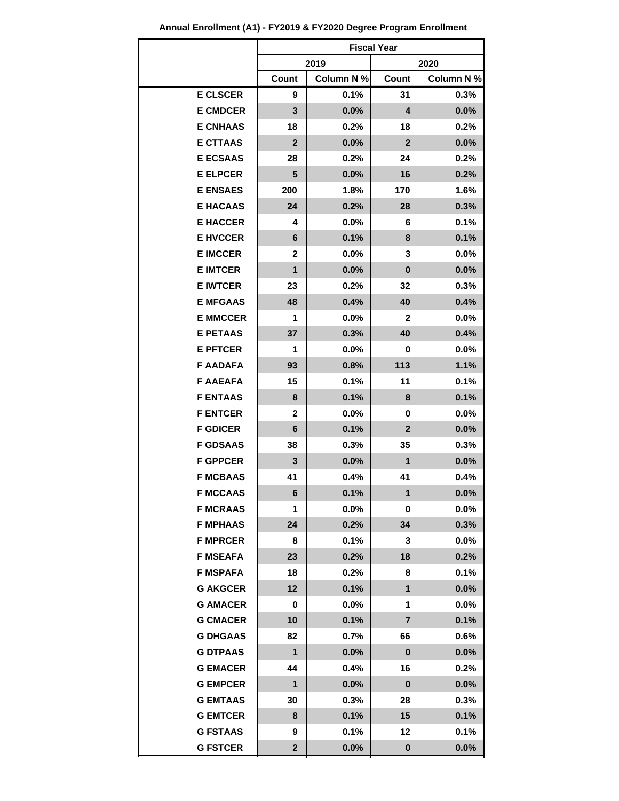| Annual Enrollment (A1) - FY2019 & FY2020 Degree Program Enrollment |  |  |  |  |  |
|--------------------------------------------------------------------|--|--|--|--|--|
|--------------------------------------------------------------------|--|--|--|--|--|

|                 | <b>Fiscal Year</b> |            |              |            |  |
|-----------------|--------------------|------------|--------------|------------|--|
|                 |                    | 2019       | 2020         |            |  |
|                 | Count              | Column N % | Count        | Column N % |  |
| <b>E CLSCER</b> | 9                  | 0.1%       | 31           | 0.3%       |  |
| <b>E CMDCER</b> | 3                  | $0.0\%$    | 4            | 0.0%       |  |
| <b>E CNHAAS</b> | 18                 | 0.2%       | 18           | 0.2%       |  |
| <b>E CTTAAS</b> | $\mathbf{2}$       | 0.0%       | $\mathbf{2}$ | 0.0%       |  |
| <b>E ECSAAS</b> | 28                 | 0.2%       | 24           | 0.2%       |  |
| <b>E ELPCER</b> | 5                  | 0.0%       | 16           | 0.2%       |  |
| <b>E ENSAES</b> | 200                | 1.8%       | 170          | 1.6%       |  |
| <b>E HACAAS</b> | 24                 | 0.2%       | 28           | 0.3%       |  |
| <b>E HACCER</b> | 4                  | $0.0\%$    | 6            | 0.1%       |  |
| <b>E HVCCER</b> | 6                  | 0.1%       | 8            | 0.1%       |  |
| <b>E IMCCER</b> | 2                  | $0.0\%$    | 3            | 0.0%       |  |
| <b>E IMTCER</b> | 1                  | $0.0\%$    | 0            | 0.0%       |  |
| <b>E IWTCER</b> | 23                 | 0.2%       | 32           | 0.3%       |  |
| <b>E MFGAAS</b> | 48                 | 0.4%       | 40           | 0.4%       |  |
| <b>E MMCCER</b> | 1                  | $0.0\%$    | 2            | $0.0\%$    |  |
| <b>E PETAAS</b> | 37                 | 0.3%       | 40           | 0.4%       |  |
| <b>E PFTCER</b> | 1                  | 0.0%       | 0            | 0.0%       |  |
| <b>F AADAFA</b> | 93                 | 0.8%       | 113          | 1.1%       |  |
| <b>F AAEAFA</b> | 15                 | 0.1%       | 11           | 0.1%       |  |
| <b>F ENTAAS</b> | 8                  | 0.1%       | 8            | 0.1%       |  |
| <b>F ENTCER</b> | 2                  | $0.0\%$    | 0            | 0.0%       |  |
| <b>F GDICER</b> | 6                  | 0.1%       | $\mathbf{2}$ | 0.0%       |  |
| <b>F GDSAAS</b> | 38                 | 0.3%       | 35           | 0.3%       |  |
| <b>F GPPCER</b> | 3                  | $0.0\%$    | 1            | 0.0%       |  |
| <b>F MCBAAS</b> | 41                 | 0.4%       | 41           | 0.4%       |  |
| <b>F MCCAAS</b> | 6                  | 0.1%       | 1            | 0.0%       |  |
| <b>F MCRAAS</b> | 1                  | $0.0\%$    | 0            | $0.0\%$    |  |
| <b>F MPHAAS</b> | 24                 | 0.2%       | 34           | 0.3%       |  |
| <b>F MPRCER</b> | 8                  | 0.1%       | 3            | $0.0\%$    |  |
| <b>F MSEAFA</b> | 23                 | 0.2%       | 18           | 0.2%       |  |
| <b>F MSPAFA</b> | 18                 | 0.2%       | 8            | 0.1%       |  |
| <b>G AKGCER</b> | 12                 | 0.1%       | $\mathbf{1}$ | 0.0%       |  |
| <b>G AMACER</b> | 0                  | $0.0\%$    | 1            | $0.0\%$    |  |
| <b>G CMACER</b> | 10                 | 0.1%       | 7            | 0.1%       |  |
| <b>G DHGAAS</b> | 82                 | 0.7%       | 66           | 0.6%       |  |
| <b>G DTPAAS</b> | 1                  | $0.0\%$    | $\bf{0}$     | 0.0%       |  |
| <b>G EMACER</b> | 44                 | 0.4%       | 16           | 0.2%       |  |
| <b>G EMPCER</b> | 1                  | 0.0%       | $\bf{0}$     | 0.0%       |  |
| <b>G EMTAAS</b> | 30                 | 0.3%       | 28           | 0.3%       |  |
| <b>G EMTCER</b> | 8                  | 0.1%       | 15           | 0.1%       |  |
| <b>G FSTAAS</b> | 9                  | 0.1%       | 12           | 0.1%       |  |
| <b>G FSTCER</b> | $\mathbf{2}$       | 0.0%       | 0            | 0.0%       |  |
|                 |                    |            |              |            |  |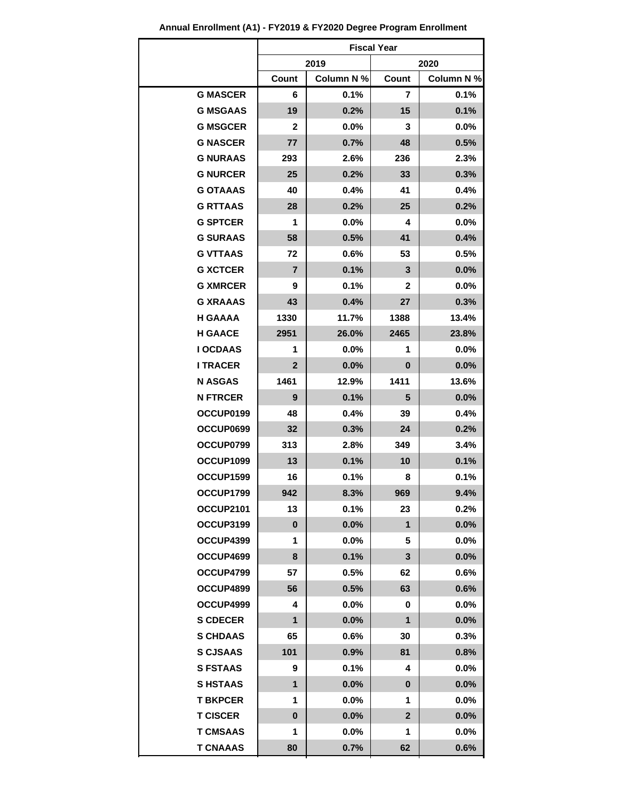|                 |              |            | <b>Fiscal Year</b> |            |  |
|-----------------|--------------|------------|--------------------|------------|--|
|                 |              | 2019       | 2020               |            |  |
|                 | Count        | Column N % | Count              | Column N % |  |
| <b>G MASCER</b> | 6            | 0.1%       | 7                  | 0.1%       |  |
| <b>G MSGAAS</b> | 19           | 0.2%       | 15                 | 0.1%       |  |
| <b>G MSGCER</b> | $\mathbf{2}$ | 0.0%       | 3                  | 0.0%       |  |
| <b>G NASCER</b> | 77           | 0.7%       | 48                 | 0.5%       |  |
| <b>G NURAAS</b> | 293          | 2.6%       | 236                | 2.3%       |  |
| <b>G NURCER</b> | 25           | 0.2%       | 33                 | 0.3%       |  |
| <b>G OTAAAS</b> | 40           | 0.4%       | 41                 | 0.4%       |  |
| <b>G RTTAAS</b> | 28           | 0.2%       | 25                 | 0.2%       |  |
| <b>G SPTCER</b> | 1            | 0.0%       | 4                  | 0.0%       |  |
| <b>G SURAAS</b> | 58           | 0.5%       | 41                 | 0.4%       |  |
| <b>G VTTAAS</b> | 72           | 0.6%       | 53                 | 0.5%       |  |
| <b>G XCTCER</b> | 7            | 0.1%       | 3                  | 0.0%       |  |
| <b>G XMRCER</b> | 9            | 0.1%       | 2                  | $0.0\%$    |  |
| <b>G XRAAAS</b> | 43           | 0.4%       | 27                 | 0.3%       |  |
| <b>H GAAAA</b>  | 1330         | 11.7%      | 1388               | 13.4%      |  |
| <b>H GAACE</b>  | 2951         | 26.0%      | 2465               | 23.8%      |  |
| <b>I OCDAAS</b> | 1            | 0.0%       | 1                  | 0.0%       |  |
| <b>I TRACER</b> | $\mathbf{2}$ | 0.0%       | 0                  | $0.0\%$    |  |
| <b>N ASGAS</b>  | 1461         | 12.9%      | 1411               | 13.6%      |  |
| <b>N FTRCER</b> | 9            | 0.1%       | 5                  | 0.0%       |  |
| OCCUP0199       | 48           | 0.4%       | 39                 | 0.4%       |  |
| OCCUP0699       | 32           | 0.3%       | 24                 | 0.2%       |  |
| OCCUP0799       | 313          | 2.8%       | 349                | 3.4%       |  |
| OCCUP1099       | 13           | 0.1%       | 10                 | 0.1%       |  |
| OCCUP1599       | 16           | 0.1%       | 8                  | 0.1%       |  |
| OCCUP1799       | 942          | 8.3%       | 969                | 9.4%       |  |
| OCCUP2101       | 13           | 0.1%       | 23                 | 0.2%       |  |
| OCCUP3199       | $\bf{0}$     | 0.0%       | 1                  | 0.0%       |  |
| OCCUP4399       | 1            | $0.0\%$    | 5                  | $0.0\%$    |  |
| OCCUP4699       | 8            | 0.1%       | 3                  | 0.0%       |  |
| OCCUP4799       | 57           | 0.5%       | 62                 | 0.6%       |  |
| OCCUP4899       | 56           | 0.5%       | 63                 | 0.6%       |  |
| OCCUP4999       | 4            | $0.0\%$    | 0                  | $0.0\%$    |  |
| <b>S CDECER</b> | $\mathbf{1}$ | 0.0%       | 1                  | 0.0%       |  |
| <b>S CHDAAS</b> | 65           | 0.6%       | 30                 | 0.3%       |  |
| <b>S CJSAAS</b> | 101          | 0.9%       | 81                 | 0.8%       |  |
| <b>S FSTAAS</b> | 9            | 0.1%       | 4                  | $0.0\%$    |  |
| <b>SHSTAAS</b>  | $\mathbf{1}$ | 0.0%       | $\bf{0}$           | $0.0\%$    |  |
| <b>T BKPCER</b> | 1            | $0.0\%$    | 1                  | $0.0\%$    |  |
| <b>T CISCER</b> | $\bf{0}$     | 0.0%       | $\mathbf{2}$       | 0.0%       |  |
| <b>T CMSAAS</b> | 1            | $0.0\%$    | 1                  | $0.0\%$    |  |
| <b>T CNAAAS</b> | 80           | 0.7%       | 62                 | 0.6%       |  |

**Annual Enrollment (A1) - FY2019 & FY2020 Degree Program Enrollment**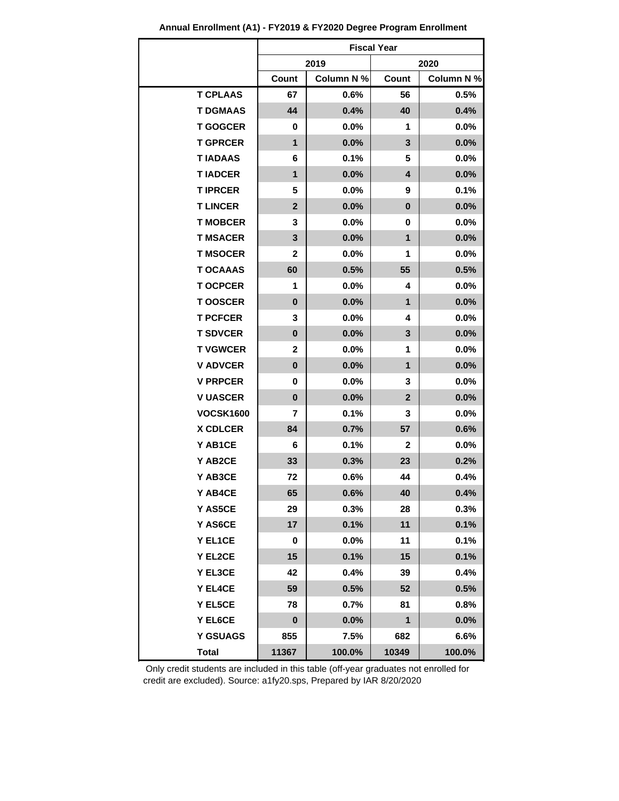|                  | <b>Fiscal Year</b> |            |                |            |
|------------------|--------------------|------------|----------------|------------|
|                  |                    | 2019       |                | 2020       |
|                  | Count              | Column N % | Count          | Column N % |
| <b>T CPLAAS</b>  | 67                 | 0.6%       | 56             | 0.5%       |
| <b>T DGMAAS</b>  | 44                 | 0.4%       | 40             | 0.4%       |
| <b>T GOGCER</b>  | 0                  | $0.0\%$    | 1              | $0.0\%$    |
| <b>T GPRCER</b>  | $\mathbf 1$        | 0.0%       | 3              | 0.0%       |
| <b>TIADAAS</b>   | 6                  | $0.1\%$    | 5              | $0.0\%$    |
| <b>TIADCER</b>   | $\mathbf{1}$       | 0.0%       | 4              | 0.0%       |
| <b>TIPRCER</b>   | 5                  | $0.0\%$    | 9              | 0.1%       |
| <b>T LINCER</b>  | $\mathbf{2}$       | $0.0\%$    | $\bf{0}$       | 0.0%       |
| <b>T MOBCER</b>  | 3                  | $0.0\%$    | 0              | $0.0\%$    |
| <b>T MSACER</b>  | $\mathbf{3}$       | 0.0%       | $\mathbf{1}$   | $0.0\%$    |
| <b>T MSOCER</b>  | 2                  | $0.0\%$    | 1              | $0.0\%$    |
| <b>T OCAAAS</b>  | 60                 | 0.5%       | 55             | 0.5%       |
| <b>T OCPCER</b>  | 1                  | $0.0\%$    | 4              | $0.0\%$    |
| <b>TOOSCER</b>   | $\pmb{0}$          | 0.0%       | $\mathbf{1}$   | 0.0%       |
| <b>T PCFCER</b>  | 3                  | $0.0\%$    | 4              | $0.0\%$    |
| <b>T SDVCER</b>  | $\bf{0}$           | 0.0%       | 3              | 0.0%       |
| <b>T VGWCER</b>  | 2                  | $0.0\%$    | 1              | $0.0\%$    |
| <b>V ADVCER</b>  | 0                  | 0.0%       | 1              | $0.0\%$    |
| <b>V PRPCER</b>  | 0                  | $0.0\%$    | 3              | $0.0\%$    |
| <b>V UASCER</b>  | $\pmb{0}$          | 0.0%       | $\overline{2}$ | 0.0%       |
| <b>VOCSK1600</b> | 7                  | $0.1\%$    | 3              | $0.0\%$    |
| <b>X CDLCER</b>  | 84                 | 0.7%       | 57             | 0.6%       |
| Y AB1CE          | 6                  | 0.1%       | $\mathbf{2}$   | 0.0%       |
| Y AB2CE          | 33                 | 0.3%       | 23             | 0.2%       |
| Y AB3CE          | 72                 | 0.6%       | 44             | 0.4%       |
| Y AB4CE          | 65                 | 0.6%       | 40             | 0.4%       |
| Y AS5CE          | 29                 | 0.3%       | 28             | 0.3%       |
| Y AS6CE          | 17                 | 0.1%       | 11             | 0.1%       |
| Y EL1CE          | 0                  | $0.0\%$    | 11             | 0.1%       |
| Y EL2CE          | 15                 | 0.1%       | 15             | 0.1%       |
| Y EL3CE          | 42                 | 0.4%       | 39             | 0.4%       |
| Y EL4CE          | 59                 | 0.5%       | 52             | 0.5%       |
| Y EL5CE          | 78                 | 0.7%       | 81             | 0.8%       |
| Y EL6CE          | $\mathbf 0$        | 0.0%       | 1              | 0.0%       |
| <b>Y GSUAGS</b>  | 855                | 7.5%       | 682            | 6.6%       |
| <b>Total</b>     | 11367              | 100.0%     | 10349          | 100.0%     |

**Annual Enrollment (A1) - FY2019 & FY2020 Degree Program Enrollment**

 Only credit students are included in this table (off-year graduates not enrolled for credit are excluded). Source: a1fy20.sps, Prepared by IAR 8/20/2020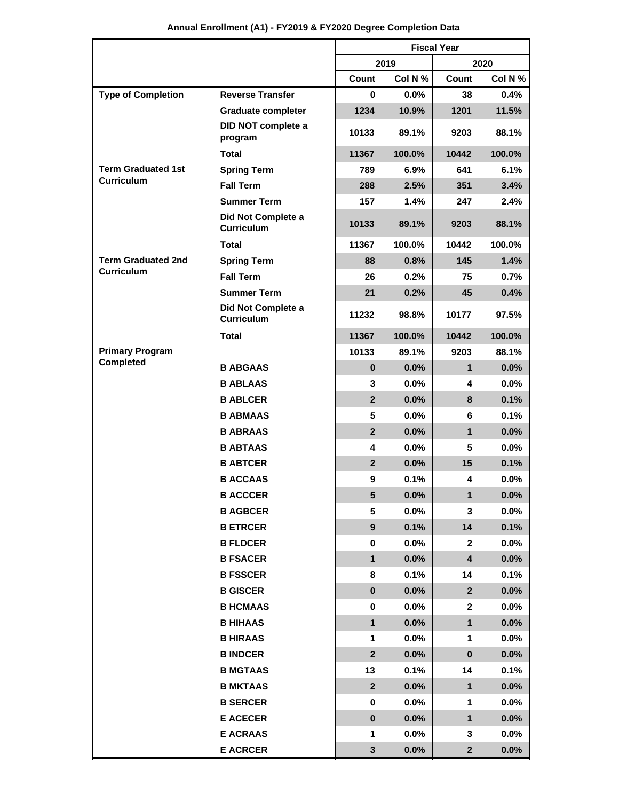|  |  | Annual Enrollment (A1) - FY2019 & FY2020 Degree Completion Data |
|--|--|-----------------------------------------------------------------|
|--|--|-----------------------------------------------------------------|

|                           |                                         | <b>Fiscal Year</b> |              |              |         |
|---------------------------|-----------------------------------------|--------------------|--------------|--------------|---------|
|                           |                                         |                    | 2019<br>2020 |              |         |
|                           |                                         | Count              | Col N %      | Count        | Col N % |
| <b>Type of Completion</b> | <b>Reverse Transfer</b>                 | 0                  | 0.0%         | 38           | 0.4%    |
|                           | <b>Graduate completer</b>               | 1234               | 10.9%        | 1201         | 11.5%   |
|                           | DID NOT complete a<br>program           | 10133              | 89.1%        | 9203         | 88.1%   |
|                           | Total                                   | 11367              | 100.0%       | 10442        | 100.0%  |
| <b>Term Graduated 1st</b> | <b>Spring Term</b>                      | 789                | 6.9%         | 641          | 6.1%    |
| <b>Curriculum</b>         | <b>Fall Term</b>                        | 288                | 2.5%         | 351          | 3.4%    |
|                           | <b>Summer Term</b>                      | 157                | 1.4%         | 247          | 2.4%    |
|                           | Did Not Complete a<br><b>Curriculum</b> | 10133              | 89.1%        | 9203         | 88.1%   |
|                           | <b>Total</b>                            | 11367              | 100.0%       | 10442        | 100.0%  |
| <b>Term Graduated 2nd</b> | <b>Spring Term</b>                      | 88                 | 0.8%         | 145          | 1.4%    |
| <b>Curriculum</b>         | <b>Fall Term</b>                        | 26                 | 0.2%         | 75           | 0.7%    |
|                           | <b>Summer Term</b>                      | 21                 | 0.2%         | 45           | 0.4%    |
|                           | Did Not Complete a<br><b>Curriculum</b> | 11232              | 98.8%        | 10177        | 97.5%   |
|                           | <b>Total</b>                            | 11367              | 100.0%       | 10442        | 100.0%  |
| <b>Primary Program</b>    |                                         | 10133              | 89.1%        | 9203         | 88.1%   |
| <b>Completed</b>          | <b>B ABGAAS</b>                         | $\mathbf{0}$       | 0.0%         | 1            | 0.0%    |
|                           | <b>B ABLAAS</b>                         | 3                  | 0.0%         | 4            | 0.0%    |
|                           | <b>B ABLCER</b>                         | $\overline{2}$     | 0.0%         | 8            | 0.1%    |
|                           | <b>B ABMAAS</b>                         | 5                  | 0.0%         | 6            | 0.1%    |
|                           | <b>B ABRAAS</b>                         | $\overline{2}$     | 0.0%         | $\mathbf{1}$ | 0.0%    |
|                           | <b>B ABTAAS</b>                         | 4                  | 0.0%         | 5            | 0.0%    |
|                           | <b>B ABTCER</b>                         | $\overline{2}$     | 0.0%         | 15           | 0.1%    |
|                           | <b>B ACCAAS</b>                         | 9                  | 0.1%         | 4            | 0.0%    |
|                           | <b>B ACCCER</b>                         | 5                  | 0.0%         | $\mathbf{1}$ | $0.0\%$ |
|                           | <b>B AGBCER</b>                         | 5                  | 0.0%         | 3            | 0.0%    |
|                           | <b>B ETRCER</b>                         | $\boldsymbol{9}$   | 0.1%         | 14           | 0.1%    |
|                           | <b>B FLDCER</b>                         | 0                  | $0.0\%$      | $\mathbf{2}$ | $0.0\%$ |
|                           | <b>B FSACER</b>                         | $\mathbf 1$        | 0.0%         | 4            | 0.0%    |
|                           | <b>B FSSCER</b>                         | 8                  | 0.1%         | 14           | 0.1%    |
|                           | <b>B GISCER</b>                         | $\bf{0}$           | 0.0%         | $\mathbf{2}$ | 0.0%    |
|                           | <b>B HCMAAS</b>                         | 0                  | $0.0\%$      | 2            | $0.0\%$ |
|                           | <b>B HIHAAS</b>                         | $\mathbf 1$        | 0.0%         | $\mathbf 1$  | 0.0%    |
|                           | <b>B HIRAAS</b>                         | 1                  | $0.0\%$      | 1            | $0.0\%$ |
|                           | <b>B INDCER</b>                         | $\mathbf{2}$       | 0.0%         | $\pmb{0}$    | 0.0%    |
|                           | <b>B MGTAAS</b>                         | 13                 | 0.1%         | 14           | 0.1%    |
|                           | <b>B MKTAAS</b>                         | $\mathbf{2}$       | 0.0%         | 1            | 0.0%    |
|                           | <b>B SERCER</b>                         | 0                  | $0.0\%$      | 1            | $0.0\%$ |
|                           | <b>E ACECER</b>                         | $\bf{0}$           | 0.0%         | $\mathbf{1}$ | 0.0%    |
|                           | <b>E ACRAAS</b>                         | 1                  | 0.0%         | 3            | $0.0\%$ |
|                           | <b>E ACRCER</b>                         | $\mathbf{3}$       | 0.0%         | $\mathbf{2}$ | 0.0%    |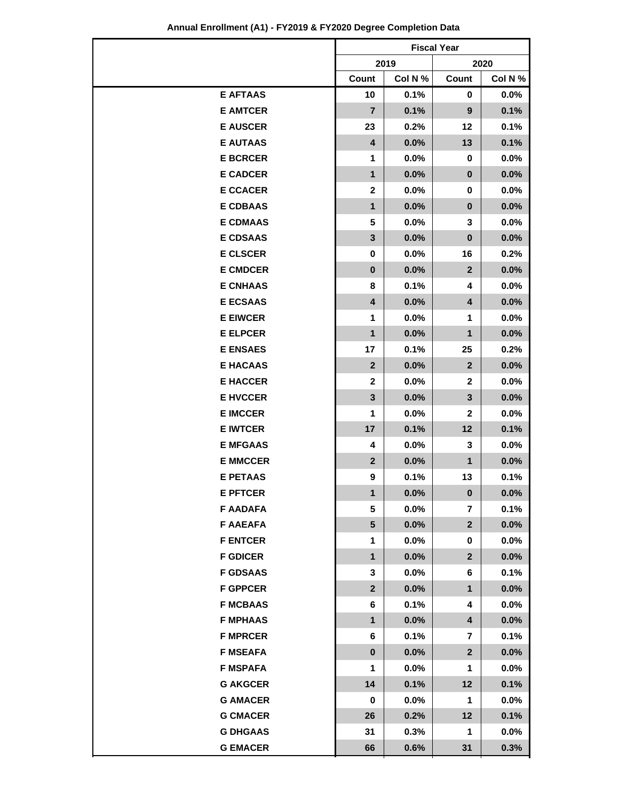|                 | <b>Fiscal Year</b>      |         |                         |         |  |  |
|-----------------|-------------------------|---------|-------------------------|---------|--|--|
|                 |                         | 2019    |                         | 2020    |  |  |
|                 | Count                   | Col N % | Count                   | Col N % |  |  |
| <b>E AFTAAS</b> | 10                      | 0.1%    | 0                       | 0.0%    |  |  |
| <b>E AMTCER</b> | $\overline{7}$          | 0.1%    | 9                       | 0.1%    |  |  |
| <b>E AUSCER</b> | 23                      | 0.2%    | $12 \,$                 | 0.1%    |  |  |
| <b>E AUTAAS</b> | $\overline{\mathbf{4}}$ | 0.0%    | 13                      | 0.1%    |  |  |
| <b>E BCRCER</b> | 1                       | $0.0\%$ | 0                       | 0.0%    |  |  |
| <b>E CADCER</b> | $\mathbf{1}$            | 0.0%    | $\pmb{0}$               | 0.0%    |  |  |
| <b>E CCACER</b> | $\mathbf{2}$            | 0.0%    | 0                       | 0.0%    |  |  |
| <b>E CDBAAS</b> | 1                       | 0.0%    | $\bf{0}$                | 0.0%    |  |  |
| <b>E CDMAAS</b> | 5                       | $0.0\%$ | 3                       | 0.0%    |  |  |
| <b>E CDSAAS</b> | 3                       | 0.0%    | $\bf{0}$                | 0.0%    |  |  |
| <b>E CLSCER</b> | 0                       | $0.0\%$ | 16                      | 0.2%    |  |  |
| <b>E CMDCER</b> | $\bf{0}$                | 0.0%    | $\mathbf{2}$            | 0.0%    |  |  |
| <b>E CNHAAS</b> | 8                       | 0.1%    | 4                       | 0.0%    |  |  |
| <b>E ECSAAS</b> | 4                       | 0.0%    | 4                       | 0.0%    |  |  |
| <b>E EIWCER</b> | 1                       | $0.0\%$ | 1                       | 0.0%    |  |  |
| <b>E ELPCER</b> | 1                       | 0.0%    | $\mathbf{1}$            | 0.0%    |  |  |
| <b>E ENSAES</b> | 17                      | 0.1%    | 25                      | 0.2%    |  |  |
| <b>E HACAAS</b> | $\overline{2}$          | 0.0%    | $\overline{2}$          | 0.0%    |  |  |
| <b>E HACCER</b> | $\mathbf{2}$            | 0.0%    | $\mathbf{2}$            | 0.0%    |  |  |
| <b>E HVCCER</b> | 3                       | 0.0%    | $\mathbf{3}$            | 0.0%    |  |  |
| <b>E IMCCER</b> | 1                       | $0.0\%$ | $\mathbf{2}$            | 0.0%    |  |  |
| <b>E IWTCER</b> | 17                      | 0.1%    | 12                      | 0.1%    |  |  |
| <b>E MFGAAS</b> | 4                       | 0.0%    | 3                       | 0.0%    |  |  |
| <b>E MMCCER</b> | $\overline{2}$          | 0.0%    | 1                       | 0.0%    |  |  |
| <b>E PETAAS</b> | 9                       | 0.1%    | 13                      | 0.1%    |  |  |
| <b>E PFTCER</b> | 1                       | $0.0\%$ | $\pmb{0}$               | $0.0\%$ |  |  |
| <b>F AADAFA</b> | 5                       | 0.0%    | $\overline{\mathbf{r}}$ | 0.1%    |  |  |
| <b>F AAEAFA</b> | 5                       | $0.0\%$ | $\overline{2}$          | 0.0%    |  |  |
| <b>F ENTCER</b> | 1                       | $0.0\%$ | 0                       | $0.0\%$ |  |  |
| <b>F GDICER</b> | $\mathbf 1$             | $0.0\%$ | $\overline{2}$          | 0.0%    |  |  |
| <b>F GDSAAS</b> | 3                       | 0.0%    | 6                       | 0.1%    |  |  |
| <b>F GPPCER</b> | $\overline{2}$          | 0.0%    | $\mathbf 1$             | 0.0%    |  |  |
| <b>F MCBAAS</b> | 6                       | 0.1%    | 4                       | 0.0%    |  |  |
| <b>F MPHAAS</b> | 1                       | 0.0%    | 4                       | 0.0%    |  |  |
| <b>F MPRCER</b> | 6                       | 0.1%    | 7                       | 0.1%    |  |  |
| <b>F MSEAFA</b> | $\bf{0}$                | $0.0\%$ | $\mathbf{2}$            | 0.0%    |  |  |
| <b>F MSPAFA</b> | 1                       | $0.0\%$ | 1                       | $0.0\%$ |  |  |
| <b>G AKGCER</b> | 14                      | 0.1%    | 12                      | 0.1%    |  |  |
| <b>G AMACER</b> | 0                       | 0.0%    | 1                       | $0.0\%$ |  |  |
| <b>G CMACER</b> | 26                      | 0.2%    | 12                      | 0.1%    |  |  |
| <b>G DHGAAS</b> | 31                      | 0.3%    | 1                       | 0.0%    |  |  |
| <b>G EMACER</b> | 66                      | 0.6%    | 31                      | 0.3%    |  |  |

### **Annual Enrollment (A1) - FY2019 & FY2020 Degree Completion Data**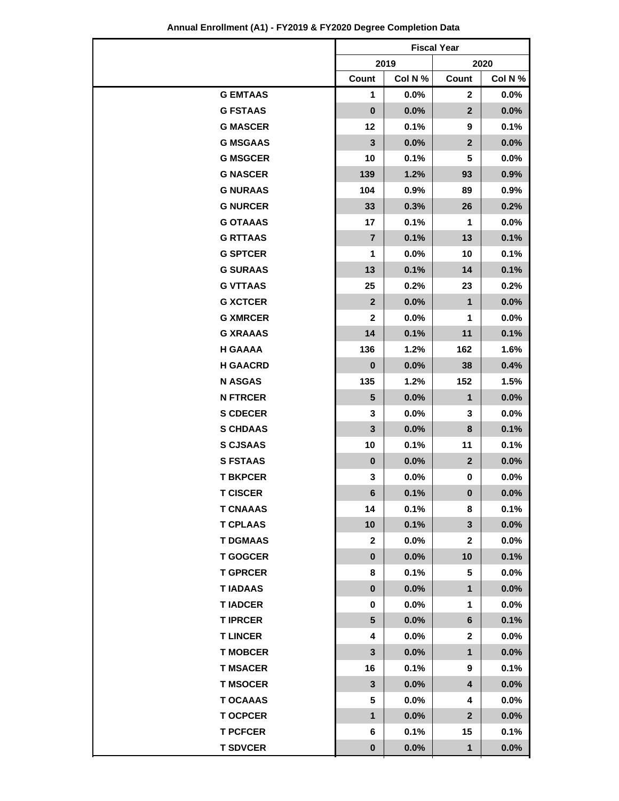|                 | <b>Fiscal Year</b>      |         |              |         |  |
|-----------------|-------------------------|---------|--------------|---------|--|
|                 |                         | 2019    |              | 2020    |  |
|                 | Count                   | Col N % | Count        | Col N % |  |
| <b>G EMTAAS</b> | 1                       | $0.0\%$ | $\mathbf{2}$ | 0.0%    |  |
| <b>G FSTAAS</b> | $\pmb{0}$               | 0.0%    | $\mathbf{2}$ | 0.0%    |  |
| <b>G MASCER</b> | 12                      | 0.1%    | 9            | 0.1%    |  |
| <b>G MSGAAS</b> | $\overline{\mathbf{3}}$ | 0.0%    | $\mathbf{2}$ | 0.0%    |  |
| <b>G MSGCER</b> | 10                      | 0.1%    | 5            | 0.0%    |  |
| <b>G NASCER</b> | 139                     | 1.2%    | 93           | 0.9%    |  |
| <b>G NURAAS</b> | 104                     | 0.9%    | 89           | 0.9%    |  |
| <b>G NURCER</b> | 33                      | 0.3%    | 26           | 0.2%    |  |
| <b>G OTAAAS</b> | 17                      | 0.1%    | 1            | 0.0%    |  |
| <b>G RTTAAS</b> | $\overline{7}$          | 0.1%    | 13           | 0.1%    |  |
| <b>G SPTCER</b> | 1                       | $0.0\%$ | 10           | 0.1%    |  |
| <b>G SURAAS</b> | 13                      | 0.1%    | 14           | 0.1%    |  |
| <b>G VTTAAS</b> | 25                      | 0.2%    | 23           | 0.2%    |  |
| <b>G XCTCER</b> | $\mathbf{2}$            | 0.0%    | 1            | 0.0%    |  |
| <b>G XMRCER</b> | 2                       | $0.0\%$ | 1            | 0.0%    |  |
| <b>G XRAAAS</b> | 14                      | 0.1%    | 11           | 0.1%    |  |
| <b>H GAAAA</b>  | 136                     | 1.2%    | 162          | 1.6%    |  |
| <b>H GAACRD</b> | $\pmb{0}$               | 0.0%    | 38           | 0.4%    |  |
| <b>N ASGAS</b>  | 135                     | 1.2%    | 152          | 1.5%    |  |
| <b>N FTRCER</b> | 5                       | 0.0%    | $\mathbf 1$  | 0.0%    |  |
| <b>S CDECER</b> | 3                       | $0.0\%$ | 3            | $0.0\%$ |  |
| <b>S CHDAAS</b> | $\overline{\mathbf{3}}$ | 0.0%    | 8            | 0.1%    |  |
| <b>S CJSAAS</b> | 10                      | 0.1%    | 11           | 0.1%    |  |
| <b>S FSTAAS</b> | $\bf{0}$                | 0.0%    | $\mathbf 2$  | 0.0%    |  |
| <b>T BKPCER</b> | 3                       | $0.0\%$ | 0            | 0.0%    |  |
| <b>T CISCER</b> | 6                       | 0.1%    | 0            | $0.0\%$ |  |
| <b>T CNAAAS</b> | 14                      | 0.1%    | 8            | 0.1%    |  |
| <b>T CPLAAS</b> | 10                      | 0.1%    | 3            | 0.0%    |  |
| <b>T DGMAAS</b> | 2                       | $0.0\%$ | $\mathbf{2}$ | $0.0\%$ |  |
| <b>T GOGCER</b> | $\pmb{0}$               | $0.0\%$ | 10           | 0.1%    |  |
| <b>T GPRCER</b> | 8                       | 0.1%    | 5            | 0.0%    |  |
| <b>TIADAAS</b>  | $\pmb{0}$               | 0.0%    | 1            | 0.0%    |  |
| <b>TIADCER</b>  | 0                       | $0.0\%$ | 1            | 0.0%    |  |
| <b>TIPRCER</b>  | $5\phantom{.0}$         | 0.0%    | 6            | 0.1%    |  |
| <b>T LINCER</b> | 4                       | $0.0\%$ | $\mathbf{2}$ | 0.0%    |  |
| <b>T MOBCER</b> | 3                       | $0.0\%$ | $\mathbf 1$  | 0.0%    |  |
| <b>T MSACER</b> | 16                      | 0.1%    | 9            | 0.1%    |  |
| <b>T MSOCER</b> | 3                       | $0.0\%$ | 4            | 0.0%    |  |
| <b>T OCAAAS</b> | 5                       | $0.0\%$ | 4            | $0.0\%$ |  |
| <b>T OCPCER</b> | 1                       | 0.0%    | $\mathbf{2}$ | 0.0%    |  |
| <b>T PCFCER</b> | 6                       | 0.1%    | 15           | 0.1%    |  |
| <b>T SDVCER</b> | $\pmb{0}$               | 0.0%    | $\mathbf 1$  | 0.0%    |  |

#### **Annual Enrollment (A1) - FY2019 & FY2020 Degree Completion Data**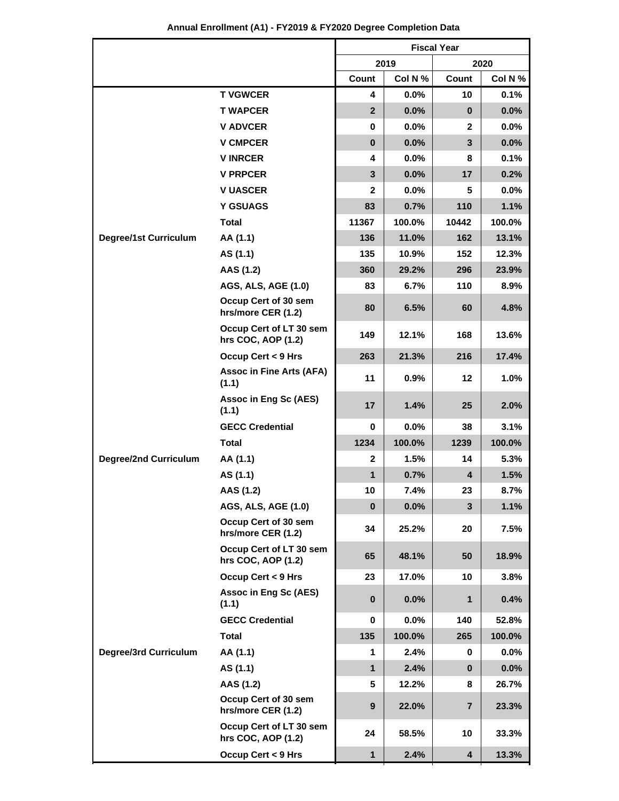| Annual Enrollment (A1) - FY2019 & FY2020 Degree Completion Data |
|-----------------------------------------------------------------|
|-----------------------------------------------------------------|

|                              |                                               | <b>Fiscal Year</b>      |         |                         |         |  |
|------------------------------|-----------------------------------------------|-------------------------|---------|-------------------------|---------|--|
|                              |                                               |                         | 2019    | 2020                    |         |  |
|                              |                                               | Count                   | Col N % | Count                   | Col N % |  |
|                              | <b>T VGWCER</b>                               | 4                       | 0.0%    | 10                      | 0.1%    |  |
|                              | <b>T WAPCER</b>                               | $\overline{2}$          | 0.0%    | $\bf{0}$                | 0.0%    |  |
|                              | <b>V ADVCER</b>                               | 0                       | $0.0\%$ | 2                       | 0.0%    |  |
|                              | <b>V CMPCER</b>                               | $\mathbf 0$             | 0.0%    | 3                       | 0.0%    |  |
|                              | <b>VINRCER</b>                                | 4                       | 0.0%    | 8                       | 0.1%    |  |
|                              | <b>V PRPCER</b>                               | $\overline{\mathbf{3}}$ | 0.0%    | 17                      | 0.2%    |  |
|                              | <b>V UASCER</b>                               | $\mathbf{2}$            | 0.0%    | 5                       | 0.0%    |  |
|                              | <b>Y GSUAGS</b>                               | 83                      | 0.7%    | 110                     | 1.1%    |  |
|                              | <b>Total</b>                                  | 11367                   | 100.0%  | 10442                   | 100.0%  |  |
| <b>Degree/1st Curriculum</b> | AA (1.1)                                      | 136                     | 11.0%   | 162                     | 13.1%   |  |
|                              | AS (1.1)                                      | 135                     | 10.9%   | 152                     | 12.3%   |  |
|                              | AAS (1.2)                                     | 360                     | 29.2%   | 296                     | 23.9%   |  |
|                              | AGS, ALS, AGE (1.0)                           | 83                      | 6.7%    | 110                     | 8.9%    |  |
|                              | Occup Cert of 30 sem<br>hrs/more CER (1.2)    | 80                      | 6.5%    | 60                      | 4.8%    |  |
|                              | Occup Cert of LT 30 sem<br>hrs COC, AOP (1.2) | 149                     | 12.1%   | 168                     | 13.6%   |  |
|                              | Occup Cert < 9 Hrs                            | 263                     | 21.3%   | 216                     | 17.4%   |  |
|                              | <b>Assoc in Fine Arts (AFA)</b><br>(1.1)      | 11                      | 0.9%    | 12                      | 1.0%    |  |
|                              | Assoc in Eng Sc (AES)<br>(1.1)                | 17                      | 1.4%    | 25                      | 2.0%    |  |
|                              | <b>GECC Credential</b>                        | 0                       | 0.0%    | 38                      | 3.1%    |  |
| <b>Degree/2nd Curriculum</b> | <b>Total</b>                                  | 1234                    | 100.0%  | 1239                    | 100.0%  |  |
|                              | AA (1.1)                                      | $\mathbf{2}$            | 1.5%    | 14                      | 5.3%    |  |
|                              | AS (1.1)                                      | $\mathbf{1}$            | 0.7%    | $\overline{\mathbf{4}}$ | 1.5%    |  |
|                              | AAS (1.2)                                     | 10                      | 7.4%    | 23                      | 8.7%    |  |
|                              | <b>AGS, ALS, AGE (1.0)</b>                    | $\mathbf 0$             | 0.0%    | $\overline{\mathbf{3}}$ | 1.1%    |  |
|                              | Occup Cert of 30 sem<br>hrs/more CER (1.2)    | 34                      | 25.2%   | 20                      | 7.5%    |  |
|                              | Occup Cert of LT 30 sem<br>hrs COC, AOP (1.2) | 65                      | 48.1%   | 50                      | 18.9%   |  |
|                              | Occup Cert < 9 Hrs                            | 23                      | 17.0%   | 10                      | 3.8%    |  |
|                              | Assoc in Eng Sc (AES)<br>(1.1)                | $\bf{0}$                | 0.0%    | 1                       | 0.4%    |  |
|                              | <b>GECC Credential</b>                        | 0                       | 0.0%    | 140                     | 52.8%   |  |
|                              | <b>Total</b>                                  | 135                     | 100.0%  | 265                     | 100.0%  |  |
| <b>Degree/3rd Curriculum</b> | AA (1.1)                                      | 1                       | 2.4%    | 0                       | $0.0\%$ |  |
|                              | AS (1.1)                                      | $\mathbf{1}$            | 2.4%    | $\bf{0}$                | $0.0\%$ |  |
|                              | AAS (1.2)                                     | 5                       | 12.2%   | 8                       | 26.7%   |  |
|                              | Occup Cert of 30 sem<br>hrs/more CER (1.2)    | 9                       | 22.0%   | $\overline{\mathbf{7}}$ | 23.3%   |  |
|                              | Occup Cert of LT 30 sem<br>hrs COC, AOP (1.2) | 24                      | 58.5%   | 10                      | 33.3%   |  |
|                              | <b>Occup Cert &lt; 9 Hrs</b>                  | $\mathbf 1$             | 2.4%    | 4                       | 13.3%   |  |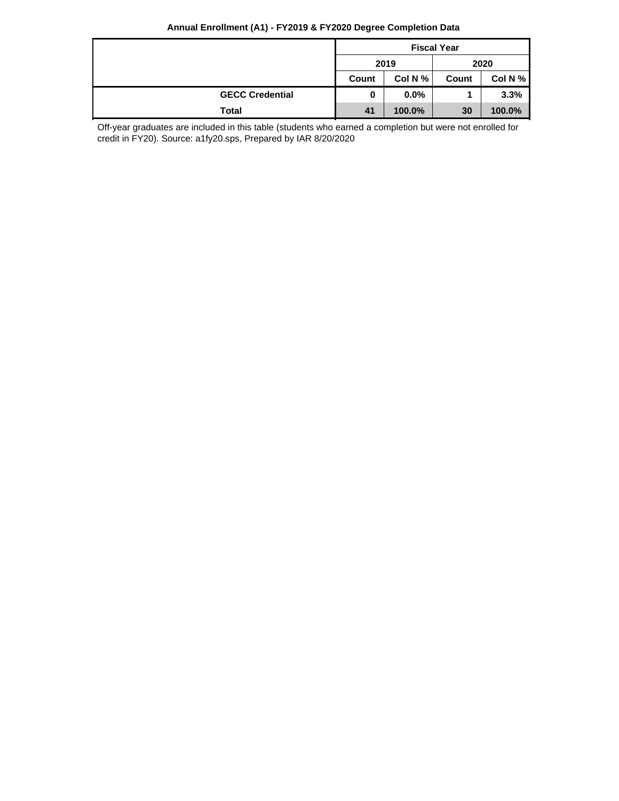#### **Annual Enrollment (A1) - FY2019 & FY2020 Degree Completion Data**

|                        | <b>Fiscal Year</b>         |        |       |         |
|------------------------|----------------------------|--------|-------|---------|
|                        | 2019<br>Col N $%$<br>Count |        | 2020  |         |
|                        |                            |        | Count | Col N % |
| <b>GECC Credential</b> | 0                          | 0.0%   |       | 3.3%    |
| Total                  | 41                         | 100.0% | 30    | 100.0%  |

Off-year graduates are included in this table (students who earned a completion but were not enrolled for credit in FY20). Source: a1fy20.sps, Prepared by IAR 8/20/2020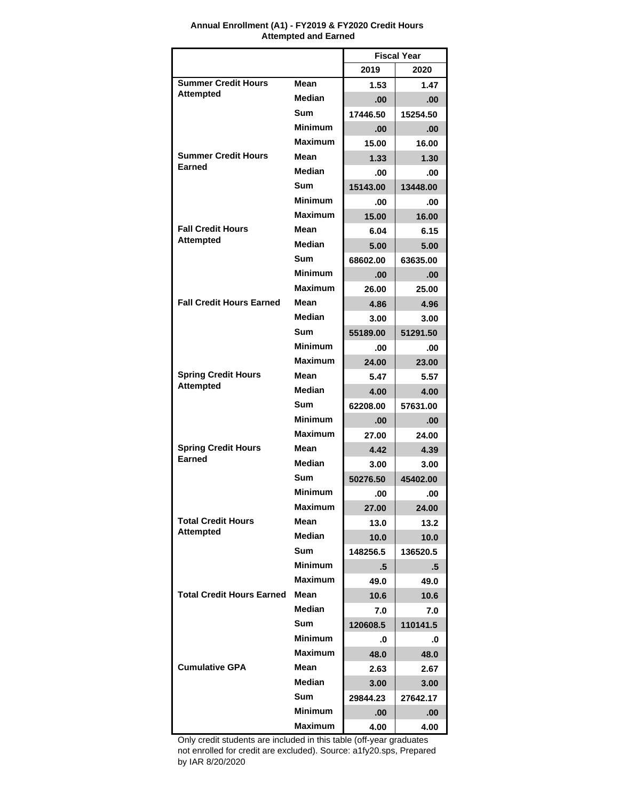|                                               |                | <b>Fiscal Year</b> |          |  |
|-----------------------------------------------|----------------|--------------------|----------|--|
|                                               |                | 2019               | 2020     |  |
| <b>Summer Credit Hours</b>                    | Mean           | 1.53               | 1.47     |  |
| <b>Attempted</b>                              | <b>Median</b>  | .00                | .00      |  |
|                                               | Sum            | 17446.50           | 15254.50 |  |
|                                               | Minimum        | .00                | .00      |  |
|                                               | <b>Maximum</b> | 15.00              | 16.00    |  |
| <b>Summer Credit Hours</b>                    | Mean           | 1.33               | 1.30     |  |
| Earned                                        | <b>Median</b>  | .00                | .00      |  |
|                                               | <b>Sum</b>     | 15143.00           | 13448.00 |  |
|                                               | <b>Minimum</b> | .00                | .00      |  |
|                                               | <b>Maximum</b> | 15.00              | 16.00    |  |
| <b>Fall Credit Hours</b>                      | Mean           | 6.04               | 6.15     |  |
| <b>Attempted</b>                              | <b>Median</b>  | 5.00               | 5.00     |  |
|                                               | Sum            | 68602.00           | 63635.00 |  |
|                                               | <b>Minimum</b> | .00                | .00      |  |
|                                               | <b>Maximum</b> | 26.00              | 25.00    |  |
| <b>Fall Credit Hours Earned</b>               | Mean           | 4.86               | 4.96     |  |
|                                               | <b>Median</b>  | 3.00               | 3.00     |  |
|                                               | Sum            | 55189.00           | 51291.50 |  |
|                                               | <b>Minimum</b> | .00                | .00      |  |
|                                               | <b>Maximum</b> | 24.00              | 23.00    |  |
| <b>Spring Credit Hours</b>                    | Mean           | 5.47               | 5.57     |  |
| <b>Attempted</b>                              | <b>Median</b>  | 4.00               | 4.00     |  |
|                                               | <b>Sum</b>     | 62208.00           | 57631.00 |  |
|                                               | <b>Minimum</b> | .00                | .00      |  |
|                                               | <b>Maximum</b> | 27.00              | 24.00    |  |
| <b>Spring Credit Hours</b><br>Earned          | Mean           | 4.42               | 4.39     |  |
|                                               | <b>Median</b>  | 3.00               | 3.00     |  |
|                                               | <b>Sum</b>     | 50276.50           | 45402.00 |  |
|                                               | <b>Minimum</b> | .00                | .00      |  |
|                                               | Maximum        | 27.00              | 24.00    |  |
| <b>Total Credit Hours</b><br><b>Attempted</b> | Mean           | 13.0               | 13.2     |  |
|                                               | <b>Median</b>  | 10.0               | 10.0     |  |
|                                               | <b>Sum</b>     | 148256.5           | 136520.5 |  |
|                                               | <b>Minimum</b> | .5                 | .5       |  |
|                                               | <b>Maximum</b> | 49.0               | 49.0     |  |
| <b>Total Credit Hours Earned</b>              | Mean           | 10.6               | 10.6     |  |
|                                               | <b>Median</b>  | 7.0                | 7.0      |  |
|                                               | <b>Sum</b>     | 120608.5           | 110141.5 |  |
|                                               | <b>Minimum</b> | .0                 | .0       |  |
|                                               | <b>Maximum</b> | 48.0               | 48.0     |  |
| <b>Cumulative GPA</b>                         | Mean           | 2.63               | 2.67     |  |
|                                               | <b>Median</b>  | 3.00               | 3.00     |  |
|                                               | <b>Sum</b>     | 29844.23           | 27642.17 |  |
|                                               | <b>Minimum</b> | .00.               | .00      |  |
|                                               | Maximum        | 4.00               | 4.00     |  |

#### **Annual Enrollment (A1) - FY2019 & FY2020 Credit Hours Attempted and Earned**

Only credit students are included in this table (off-year graduates not enrolled for credit are excluded). Source: a1fy20.sps, Prepared by IAR 8/20/2020